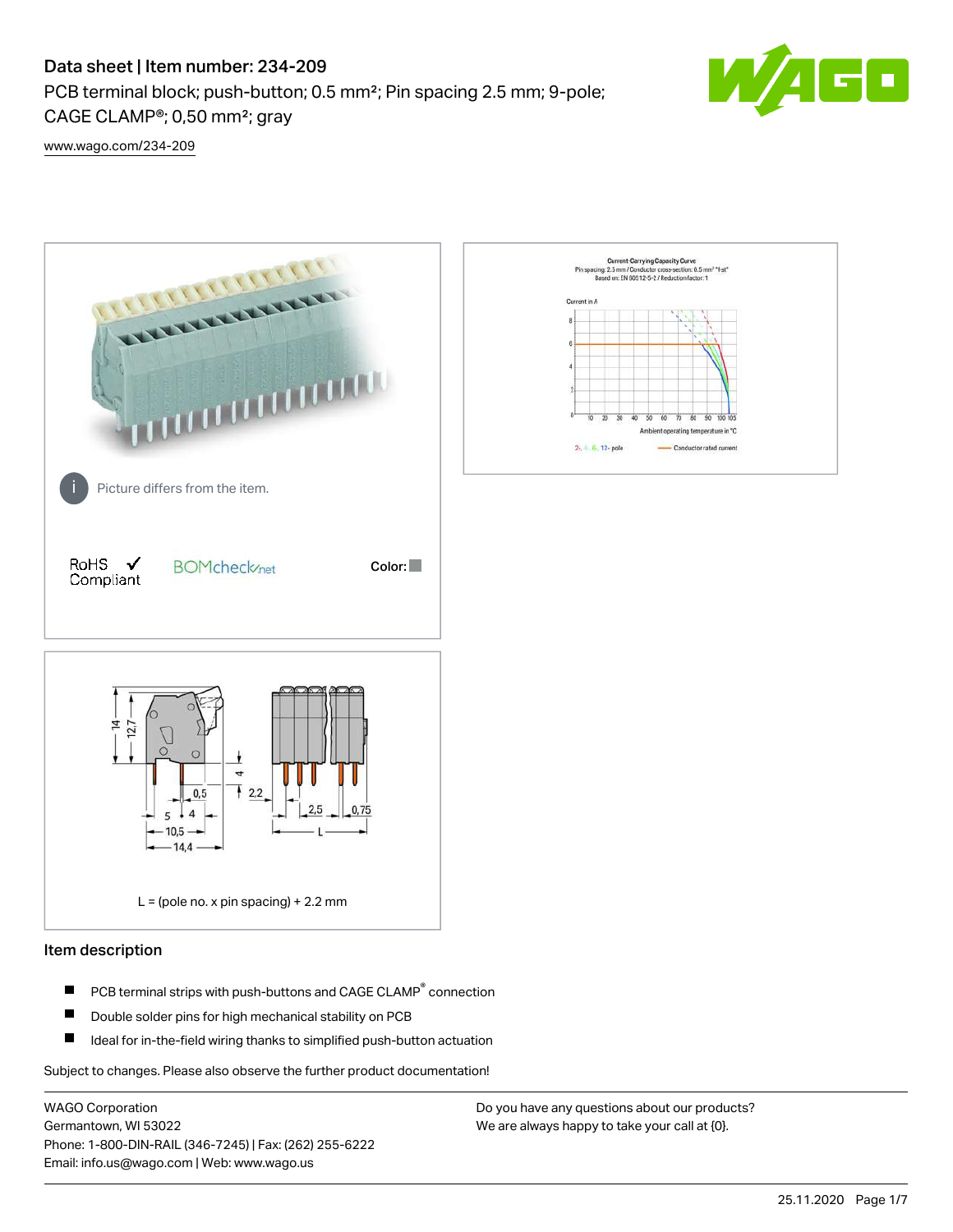## Data sheet | Item number: 234-209

PCB terminal block; push-button; 0.5 mm²; Pin spacing 2.5 mm; 9-pole; CAGE CLAMP®; 0,50 mm²; gray



[www.wago.com/234-209](http://www.wago.com/234-209)



### Item description

- PCB terminal strips with push-buttons and CAGE CLAMP<sup>®</sup> connection П
- П Double solder pins for high mechanical stability on PCB
- П Ideal for in-the-field wiring thanks to simplified push-button actuation

Subject to changes. Please also observe the further product documentation!

WAGO Corporation Germantown, WI 53022 Phone: 1-800-DIN-RAIL (346-7245) | Fax: (262) 255-6222 Email: info.us@wago.com | Web: www.wago.us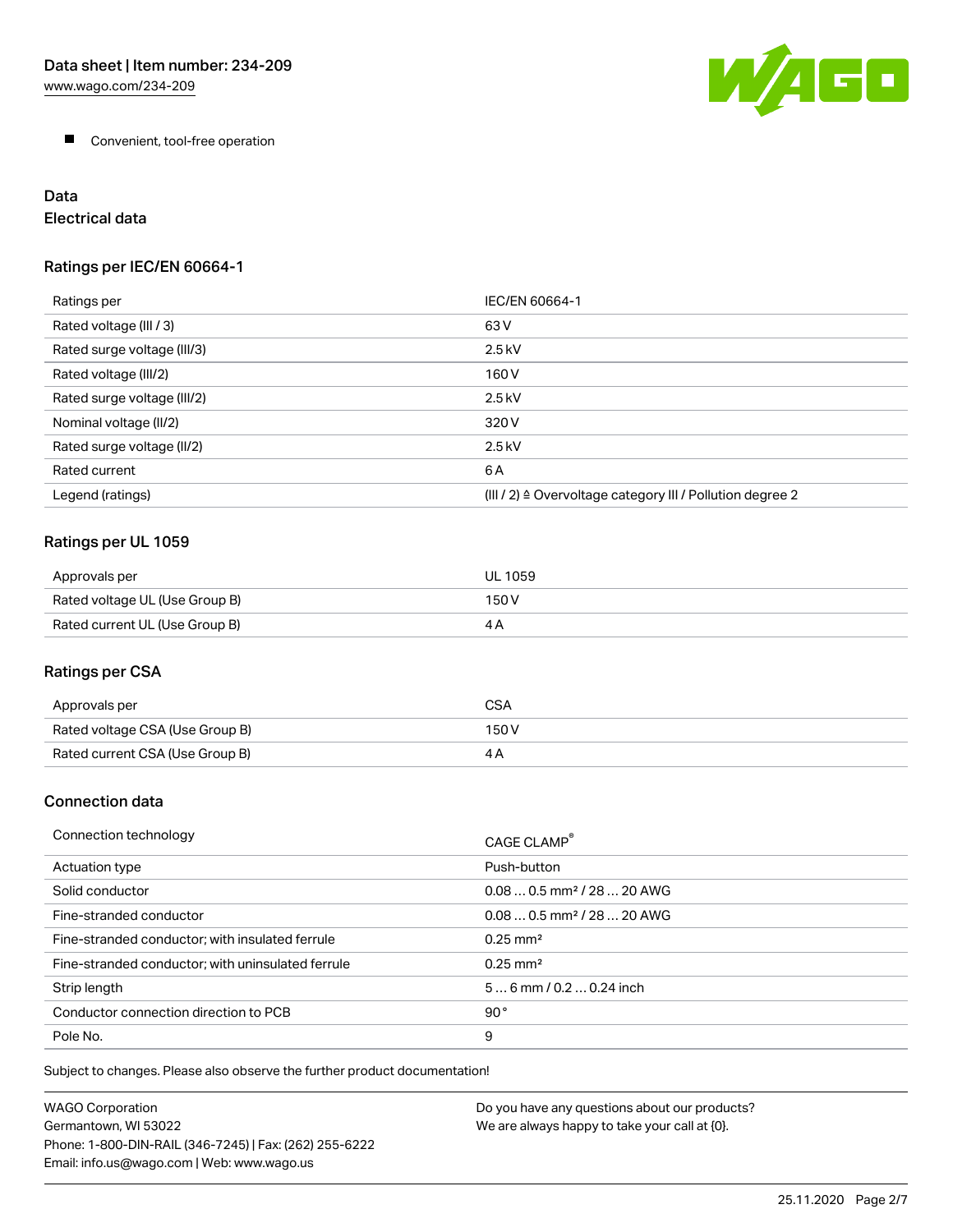

**Convenient, tool-free operation** 

# Data

Electrical data

## Ratings per IEC/EN 60664-1

| Ratings per                 | IEC/EN 60664-1                                                        |
|-----------------------------|-----------------------------------------------------------------------|
| Rated voltage (III / 3)     | 63 V                                                                  |
| Rated surge voltage (III/3) | $2.5$ kV                                                              |
| Rated voltage (III/2)       | 160 V                                                                 |
| Rated surge voltage (III/2) | $2.5$ kV                                                              |
| Nominal voltage (II/2)      | 320 V                                                                 |
| Rated surge voltage (II/2)  | $2.5$ kV                                                              |
| Rated current               | 6A                                                                    |
| Legend (ratings)            | $(III / 2)$ $\triangle$ Overvoltage category III / Pollution degree 2 |

## Ratings per UL 1059

| Approvals per                  | <b>UL 1059</b> |
|--------------------------------|----------------|
| Rated voltage UL (Use Group B) | 150 V          |
| Rated current UL (Use Group B) | 4 A            |

## Ratings per CSA

| Approvals per                   | CSA   |
|---------------------------------|-------|
| Rated voltage CSA (Use Group B) | 150 V |
| Rated current CSA (Use Group B) |       |

### Connection data

| Connection technology                             | CAGE CLAMP                             |
|---------------------------------------------------|----------------------------------------|
| Actuation type                                    | Push-button                            |
| Solid conductor                                   | $0.080.5$ mm <sup>2</sup> / 28  20 AWG |
| Fine-stranded conductor                           | $0.080.5$ mm <sup>2</sup> / 28  20 AWG |
| Fine-stranded conductor; with insulated ferrule   | $0.25 \text{ mm}^2$                    |
| Fine-stranded conductor; with uninsulated ferrule | $0.25 \text{ mm}^2$                    |
| Strip length                                      | $56$ mm $/ 0.20.24$ inch               |
| Conductor connection direction to PCB             | 90°                                    |
| Pole No.                                          | 9                                      |

Subject to changes. Please also observe the further product documentation!

| WAGO Corporation                                       | Do you have any questions about our products? |
|--------------------------------------------------------|-----------------------------------------------|
| Germantown. WI 53022                                   | We are always happy to take your call at {0}. |
| Phone: 1-800-DIN-RAIL (346-7245)   Fax: (262) 255-6222 |                                               |
| Email: info.us@wago.com   Web: www.wago.us             |                                               |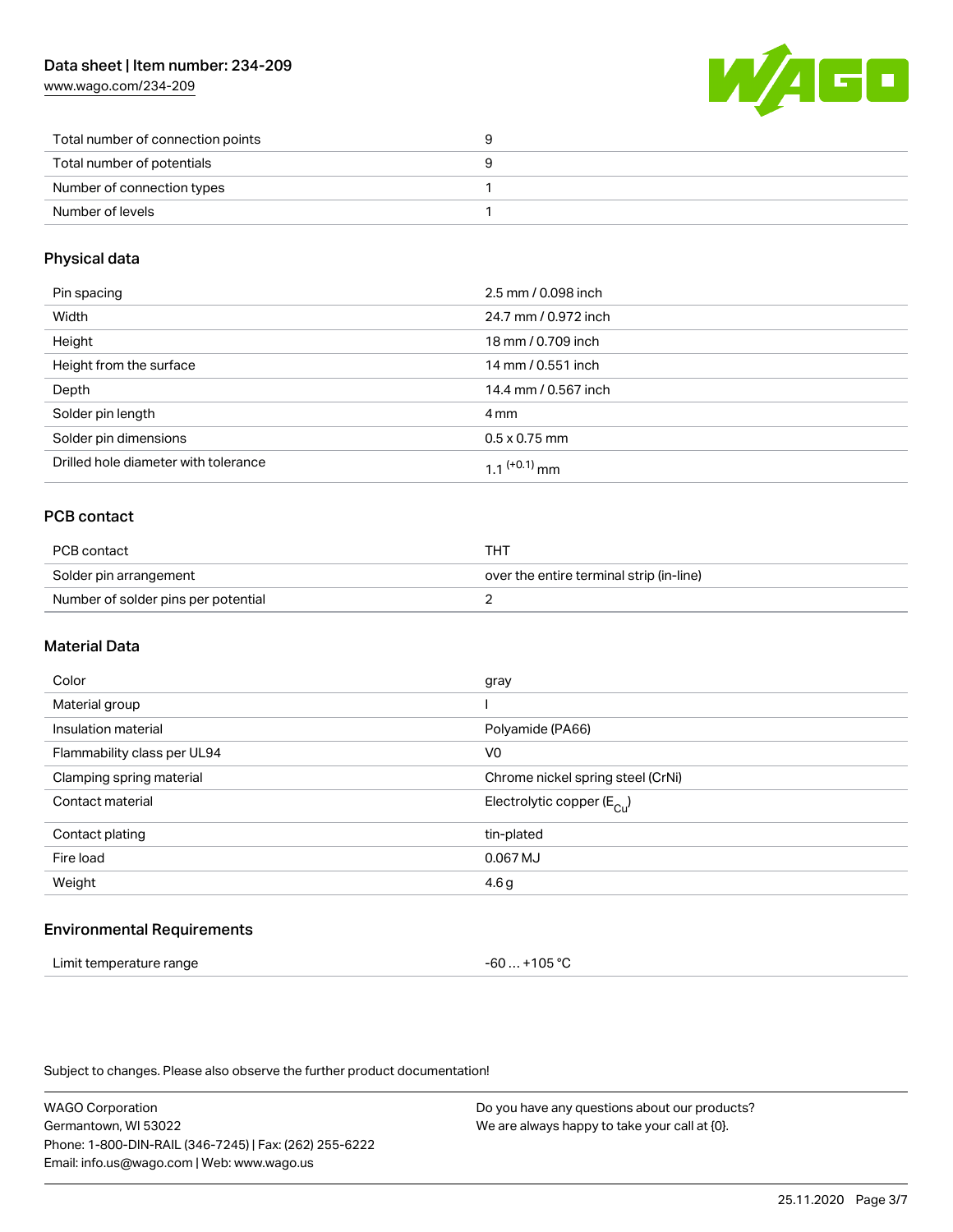[www.wago.com/234-209](http://www.wago.com/234-209)



| Total number of connection points |  |
|-----------------------------------|--|
| Total number of potentials        |  |
| Number of connection types        |  |
| Number of levels                  |  |

#### Physical data

| Pin spacing                          | 2.5 mm / 0.098 inch  |
|--------------------------------------|----------------------|
| Width                                | 24.7 mm / 0.972 inch |
| Height                               | 18 mm / 0.709 inch   |
| Height from the surface              | 14 mm / 0.551 inch   |
| Depth                                | 14.4 mm / 0.567 inch |
| Solder pin length                    | 4 mm                 |
| Solder pin dimensions                | $0.5 \times 0.75$ mm |
| Drilled hole diameter with tolerance | $11^{(+0.1)}$ mm     |

## PCB contact

| PCB contact                         | THT                                      |
|-------------------------------------|------------------------------------------|
| Solder pin arrangement              | over the entire terminal strip (in-line) |
| Number of solder pins per potential |                                          |

#### Material Data

| Color                       | gray                                  |
|-----------------------------|---------------------------------------|
| Material group              |                                       |
| Insulation material         | Polyamide (PA66)                      |
| Flammability class per UL94 | V <sub>0</sub>                        |
| Clamping spring material    | Chrome nickel spring steel (CrNi)     |
| Contact material            | Electrolytic copper $(E_{\text{Cl}})$ |
| Contact plating             | tin-plated                            |
| Fire load                   | 0.067 MJ                              |
| Weight                      | 4.6g                                  |
|                             |                                       |

#### Environmental Requirements

| Limit temperature range | -60  +105 °C |
|-------------------------|--------------|
|-------------------------|--------------|

Subject to changes. Please also observe the further product documentation!

WAGO Corporation Germantown, WI 53022 Phone: 1-800-DIN-RAIL (346-7245) | Fax: (262) 255-6222 Email: info.us@wago.com | Web: www.wago.us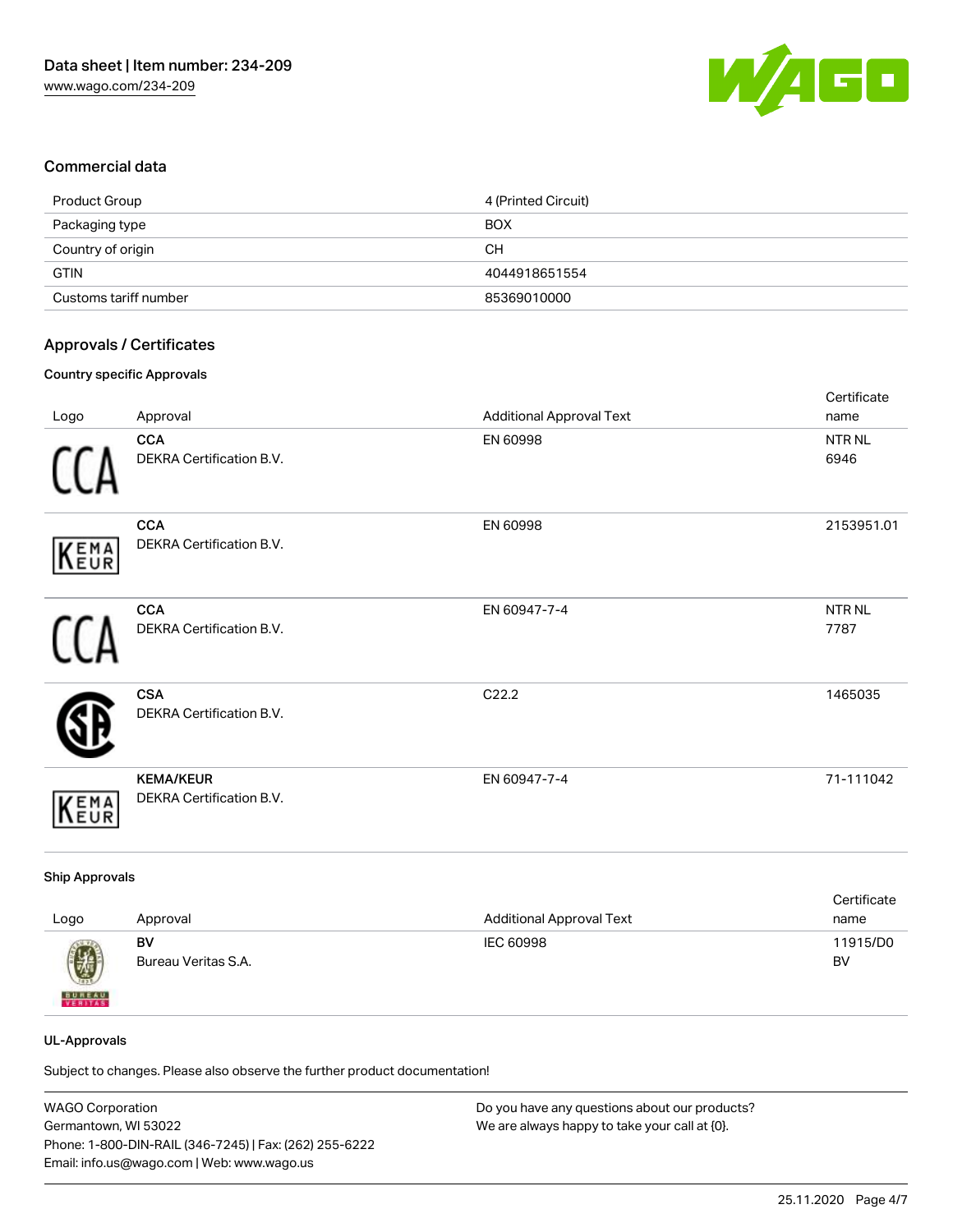

#### Commercial data

| Product Group         | 4 (Printed Circuit) |
|-----------------------|---------------------|
| Packaging type        | <b>BOX</b>          |
| Country of origin     | CН                  |
| <b>GTIN</b>           | 4044918651554       |
| Customs tariff number | 85369010000         |

#### Approvals / Certificates

#### Country specific Approvals

|             |                                              |                                 | Certificate               |
|-------------|----------------------------------------------|---------------------------------|---------------------------|
| Logo        | Approval                                     | <b>Additional Approval Text</b> | name                      |
|             | <b>CCA</b><br>DEKRA Certification B.V.       | EN 60998                        | NTR <sub>NL</sub><br>6946 |
| KEMA        | <b>CCA</b><br>DEKRA Certification B.V.       | EN 60998                        | 2153951.01                |
|             | <b>CCA</b><br>DEKRA Certification B.V.       | EN 60947-7-4                    | NTR <sub>NL</sub><br>7787 |
|             | <b>CSA</b><br>DEKRA Certification B.V.       | C22.2                           | 1465035                   |
| <b>KEMA</b> | <b>KEMA/KEUR</b><br>DEKRA Certification B.V. | EN 60947-7-4                    | 71-111042                 |

#### Ship Approvals

| Logo                                                                                                                                                                                                                                                                                                                                                                                                                                                                                | Approval            | <b>Additional Approval Text</b> | Certificate<br>name |
|-------------------------------------------------------------------------------------------------------------------------------------------------------------------------------------------------------------------------------------------------------------------------------------------------------------------------------------------------------------------------------------------------------------------------------------------------------------------------------------|---------------------|---------------------------------|---------------------|
| $\bigcirc\!\!\!\!\! \bigcirc\!\!\!\!\! \bigcirc\!\!\!\!\! \bigcirc\!\!\!\!\! \bigcirc\!\!\!\!\! \bigcirc\!\!\!\!\! \bigcirc\!\!\!\!\! \bigcirc\!\!\!\!\! \bigcirc\!\!\!\!\! \bigcirc\!\!\!\!\! \bigcirc\!\!\!\!\! \bigcirc\!\!\!\!\! \bigcirc\!\!\!\!\! \bigcirc\!\!\!\!\! \bigcirc\!\!\!\!\! \bigcirc\!\!\!\!\! \bigcirc\!\!\!\!\! \bigcirc\!\!\!\!\! \bigcirc\!\!\!\!\! \bigcirc\!\!\!\!\! \bigcirc\!\!\!\!\! \bigcirc\!\!\!\!\! \bigcirc\!\!\!\!\! \bigcirc\!\!\!\!\! \bigcirc\$ | BV                  | IEC 60998                       | 11915/D0            |
| <b>BUREAU</b>                                                                                                                                                                                                                                                                                                                                                                                                                                                                       | Bureau Veritas S.A. |                                 | BV                  |

#### UL-Approvals

Subject to changes. Please also observe the further product documentation!

| <b>WAGO Corporation</b>                                | Do you have any questions about our products? |
|--------------------------------------------------------|-----------------------------------------------|
| Germantown, WI 53022                                   | We are always happy to take your call at {0}. |
| Phone: 1-800-DIN-RAIL (346-7245)   Fax: (262) 255-6222 |                                               |
| Email: info.us@wago.com   Web: www.wago.us             |                                               |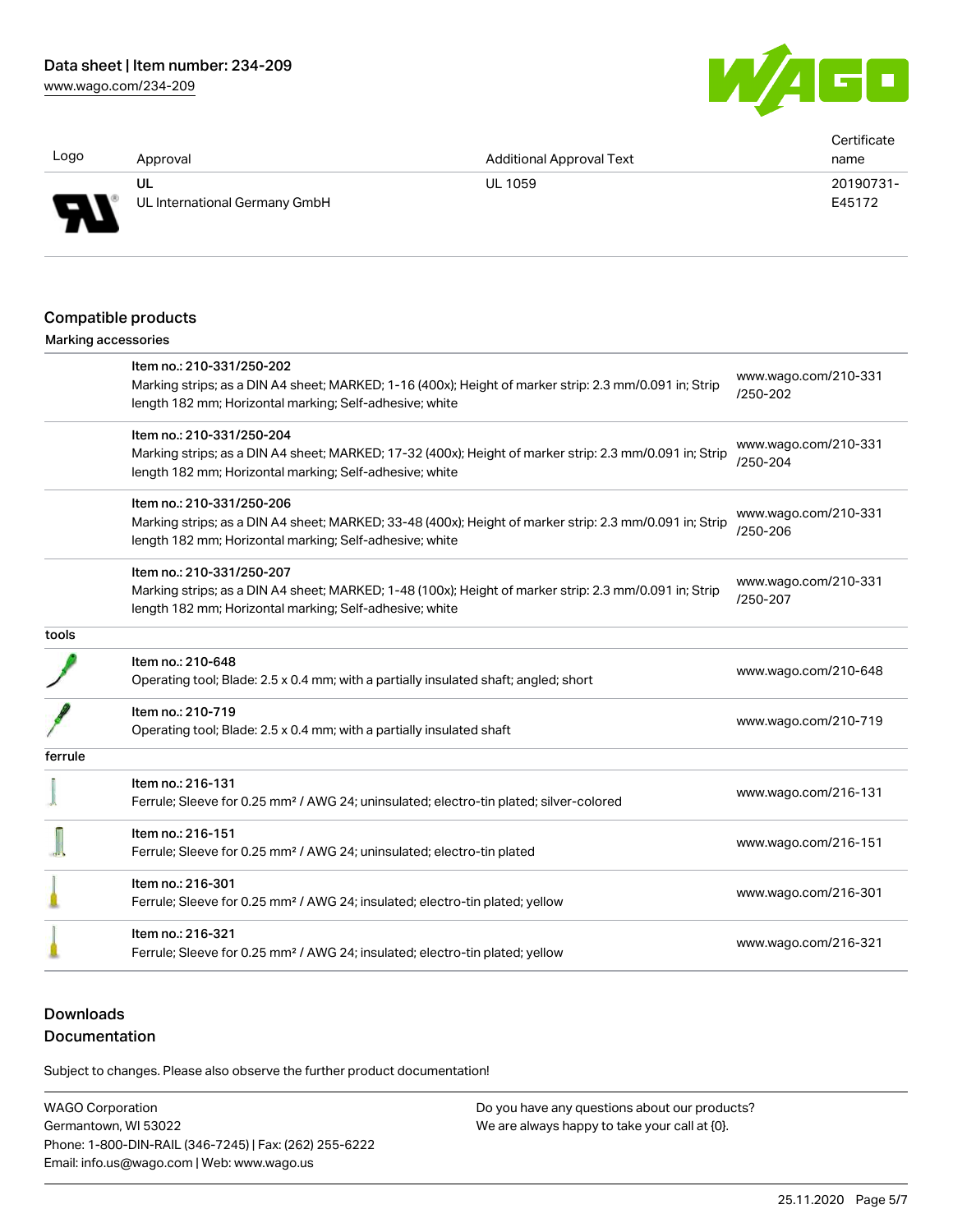[www.wago.com/234-209](http://www.wago.com/234-209)



| Logo                       | Approval                                                                                                                                                          | <b>Additional Approval Text</b> | Certificate<br>name              |
|----------------------------|-------------------------------------------------------------------------------------------------------------------------------------------------------------------|---------------------------------|----------------------------------|
|                            | UL                                                                                                                                                                | UL 1059                         | 20190731-                        |
|                            | UL International Germany GmbH                                                                                                                                     |                                 | E45172                           |
|                            |                                                                                                                                                                   |                                 |                                  |
|                            | Compatible products                                                                                                                                               |                                 |                                  |
| <b>Marking accessories</b> |                                                                                                                                                                   |                                 |                                  |
|                            | Item no.: 210-331/250-202                                                                                                                                         |                                 |                                  |
|                            | Marking strips; as a DIN A4 sheet; MARKED; 1-16 (400x); Height of marker strip: 2.3 mm/0.091 in; Strip<br>length 182 mm; Horizontal marking; Self-adhesive; white |                                 | www.wago.com/210-331<br>/250-202 |
|                            | Item no.: 210-331/250-204                                                                                                                                         |                                 |                                  |
|                            | Marking strips; as a DIN A4 sheet; MARKED; 17-32 (400x); Height of marker strip: 2.3 mm/0.091 in; Strip                                                           |                                 | www.wago.com/210-331<br>/250-204 |
|                            | length 182 mm; Horizontal marking; Self-adhesive; white                                                                                                           |                                 |                                  |
|                            | Item no.: 210-331/250-206                                                                                                                                         |                                 |                                  |
|                            | Marking strips; as a DIN A4 sheet; MARKED; 33-48 (400x); Height of marker strip: 2.3 mm/0.091 in; Strip                                                           |                                 | www.wago.com/210-331             |
|                            | length 182 mm; Horizontal marking; Self-adhesive; white                                                                                                           |                                 | /250-206                         |
|                            | Item no.: 210-331/250-207                                                                                                                                         |                                 |                                  |
|                            | Marking strips; as a DIN A4 sheet; MARKED; 1-48 (100x); Height of marker strip: 2.3 mm/0.091 in; Strip                                                            |                                 | www.wago.com/210-331<br>/250-207 |
|                            | length 182 mm; Horizontal marking; Self-adhesive; white                                                                                                           |                                 |                                  |
| tools                      |                                                                                                                                                                   |                                 |                                  |
|                            | Item no.: 210-648                                                                                                                                                 |                                 |                                  |
|                            | Operating tool; Blade: 2.5 x 0.4 mm; with a partially insulated shaft; angled; short                                                                              |                                 | www.wago.com/210-648             |
|                            | Item no.: 210-719                                                                                                                                                 |                                 |                                  |
|                            | Operating tool; Blade: 2.5 x 0.4 mm; with a partially insulated shaft                                                                                             |                                 | www.wago.com/210-719             |
| ferrule                    |                                                                                                                                                                   |                                 |                                  |
|                            | Item no.: 216-131                                                                                                                                                 |                                 |                                  |
|                            | Ferrule; Sleeve for 0.25 mm <sup>2</sup> / AWG 24; uninsulated; electro-tin plated; silver-colored                                                                |                                 | www.wago.com/216-131             |
|                            | Item no.: 216-151                                                                                                                                                 |                                 |                                  |
|                            | Ferrule; Sleeve for 0.25 mm <sup>2</sup> / AWG 24; uninsulated; electro-tin plated                                                                                |                                 | www.wago.com/216-151             |
|                            | Item no.: 216-301                                                                                                                                                 |                                 |                                  |
|                            | Ferrule; Sleeve for 0.25 mm <sup>2</sup> / AWG 24; insulated; electro-tin plated; yellow                                                                          |                                 | www.wago.com/216-301             |
|                            | Item no.: 216-321                                                                                                                                                 |                                 |                                  |
|                            | Ferrule; Sleeve for 0.25 mm <sup>2</sup> / AWG 24; insulated; electro-tin plated; yellow                                                                          |                                 | www.wago.com/216-321             |
|                            |                                                                                                                                                                   |                                 |                                  |

## **Downloads**

## Documentation

Subject to changes. Please also observe the further product documentation!

WAGO Corporation Germantown, WI 53022 Phone: 1-800-DIN-RAIL (346-7245) | Fax: (262) 255-6222 Email: info.us@wago.com | Web: www.wago.us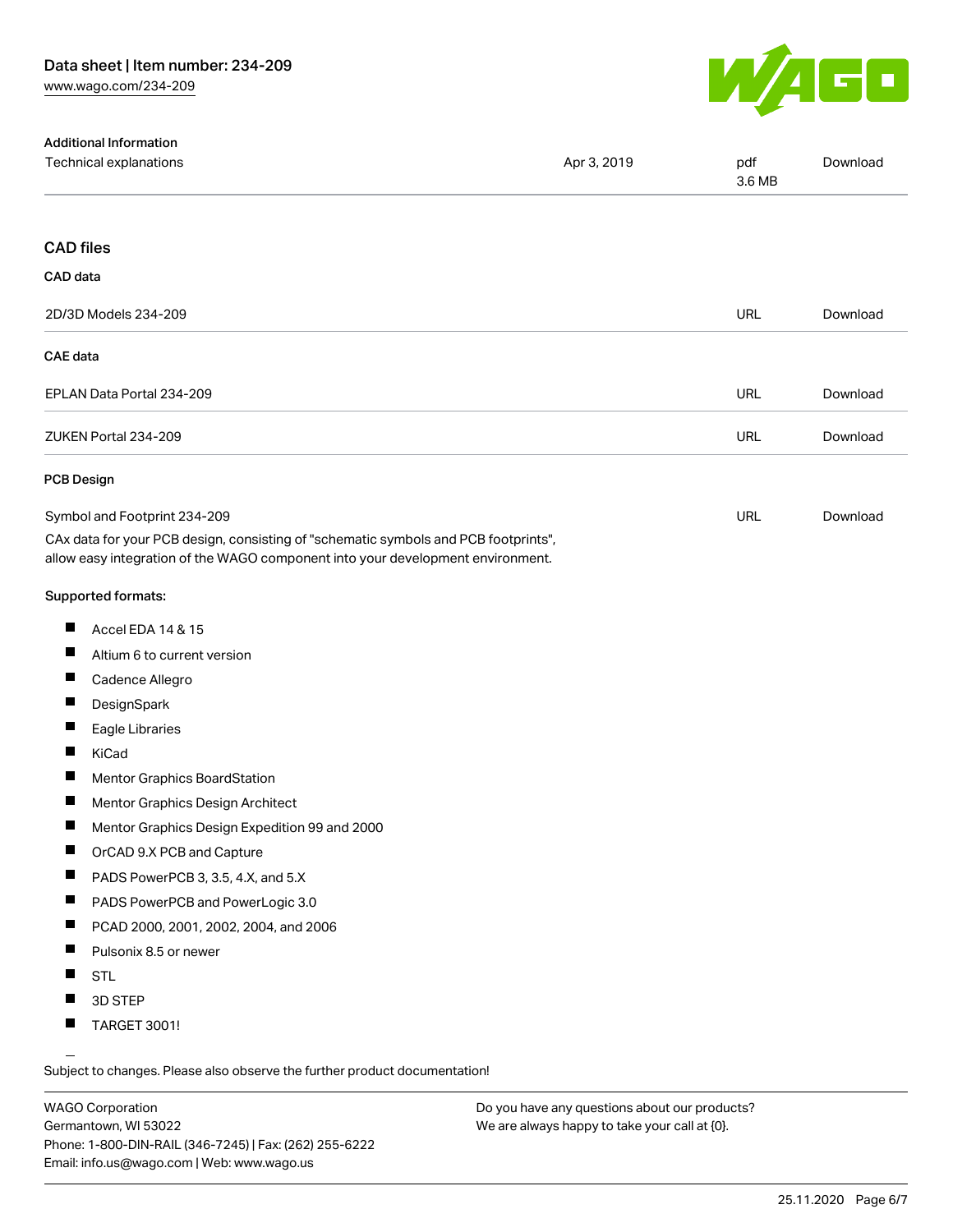

| <b>Additional Information</b>                                                                                                                                          |             |               |          |
|------------------------------------------------------------------------------------------------------------------------------------------------------------------------|-------------|---------------|----------|
| Technical explanations                                                                                                                                                 | Apr 3, 2019 | pdf<br>3.6 MB | Download |
|                                                                                                                                                                        |             |               |          |
| <b>CAD files</b>                                                                                                                                                       |             |               |          |
| CAD data                                                                                                                                                               |             |               |          |
| 2D/3D Models 234-209                                                                                                                                                   |             | <b>URL</b>    | Download |
| CAE data                                                                                                                                                               |             |               |          |
| EPLAN Data Portal 234-209                                                                                                                                              |             | URL           | Download |
| ZUKEN Portal 234-209                                                                                                                                                   |             | <b>URL</b>    | Download |
| <b>PCB Design</b>                                                                                                                                                      |             |               |          |
| Symbol and Footprint 234-209                                                                                                                                           |             | <b>URL</b>    | Download |
| CAx data for your PCB design, consisting of "schematic symbols and PCB footprints",<br>allow easy integration of the WAGO component into your development environment. |             |               |          |
| Supported formats:                                                                                                                                                     |             |               |          |
| H.<br>Accel EDA 14 & 15                                                                                                                                                |             |               |          |
| ш<br>Altium 6 to current version                                                                                                                                       |             |               |          |
| L<br>Cadence Allegro                                                                                                                                                   |             |               |          |
| ш<br>DesignSpark                                                                                                                                                       |             |               |          |
| ш<br>Eagle Libraries                                                                                                                                                   |             |               |          |
| H.<br>KiCad                                                                                                                                                            |             |               |          |
| ш<br>Mentor Graphics BoardStation                                                                                                                                      |             |               |          |
| ш<br>Mentor Graphics Design Architect                                                                                                                                  |             |               |          |
| Mentor Graphics Design Expedition 99 and 2000                                                                                                                          |             |               |          |
| ш<br>OrCAD 9.X PCB and Capture                                                                                                                                         |             |               |          |
| ш<br>PADS PowerPCB 3, 3.5, 4.X, and 5.X                                                                                                                                |             |               |          |
| ш<br>PADS PowerPCB and PowerLogic 3.0                                                                                                                                  |             |               |          |
| ш<br>PCAD 2000, 2001, 2002, 2004, and 2006                                                                                                                             |             |               |          |
| ш<br>Pulsonix 8.5 or newer                                                                                                                                             |             |               |          |
| ш<br><b>STL</b>                                                                                                                                                        |             |               |          |
| 3D STEP                                                                                                                                                                |             |               |          |
| <b>TARGET 3001!</b>                                                                                                                                                    |             |               |          |

Subject to changes. Please also observe the further product documentation!

WAGO Corporation Germantown, WI 53022 Phone: 1-800-DIN-RAIL (346-7245) | Fax: (262) 255-6222 Email: info.us@wago.com | Web: www.wago.us